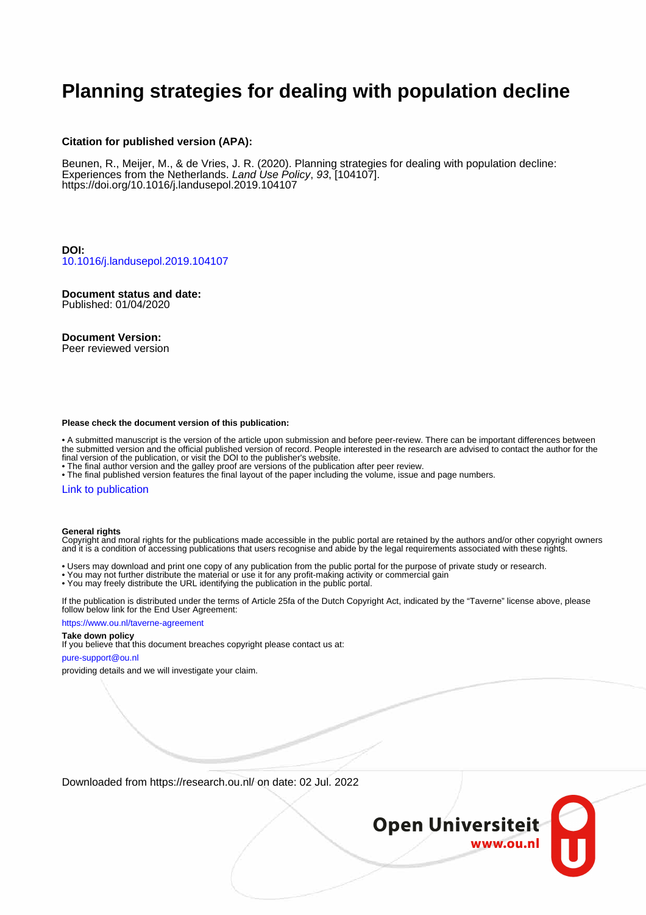## **Planning strategies for dealing with population decline**

#### **Citation for published version (APA):**

Beunen, R., Meijer, M., & de Vries, J. R. (2020). Planning strategies for dealing with population decline: Experiences from the Netherlands. Land Use Policy, 93, [104107]. <https://doi.org/10.1016/j.landusepol.2019.104107>

**DOI:** [10.1016/j.landusepol.2019.104107](https://doi.org/10.1016/j.landusepol.2019.104107)

**Document status and date:** Published: 01/04/2020

#### **Document Version:**

Peer reviewed version

#### **Please check the document version of this publication:**

• A submitted manuscript is the version of the article upon submission and before peer-review. There can be important differences between the submitted version and the official published version of record. People interested in the research are advised to contact the author for the final version of the publication, or visit the DOI to the publisher's website.

• The final author version and the galley proof are versions of the publication after peer review.

• The final published version features the final layout of the paper including the volume, issue and page numbers.

#### [Link to publication](https://research.ou.nl/en/publications/19fed0a7-ed37-48bc-b7da-ddc3d8033020)

#### **General rights**

Copyright and moral rights for the publications made accessible in the public portal are retained by the authors and/or other copyright owners and it is a condition of accessing publications that users recognise and abide by the legal requirements associated with these rights.

- Users may download and print one copy of any publication from the public portal for the purpose of private study or research.
- You may not further distribute the material or use it for any profit-making activity or commercial gain
- You may freely distribute the URL identifying the publication in the public portal.

If the publication is distributed under the terms of Article 25fa of the Dutch Copyright Act, indicated by the "Taverne" license above, please follow below link for the End User Agreement:

#### https://www.ou.nl/taverne-agreement

#### **Take down policy**

If you believe that this document breaches copyright please contact us at:

#### pure-support@ou.nl

providing details and we will investigate your claim.

Downloaded from https://research.ou.nl/ on date: 02 Jul. 2022

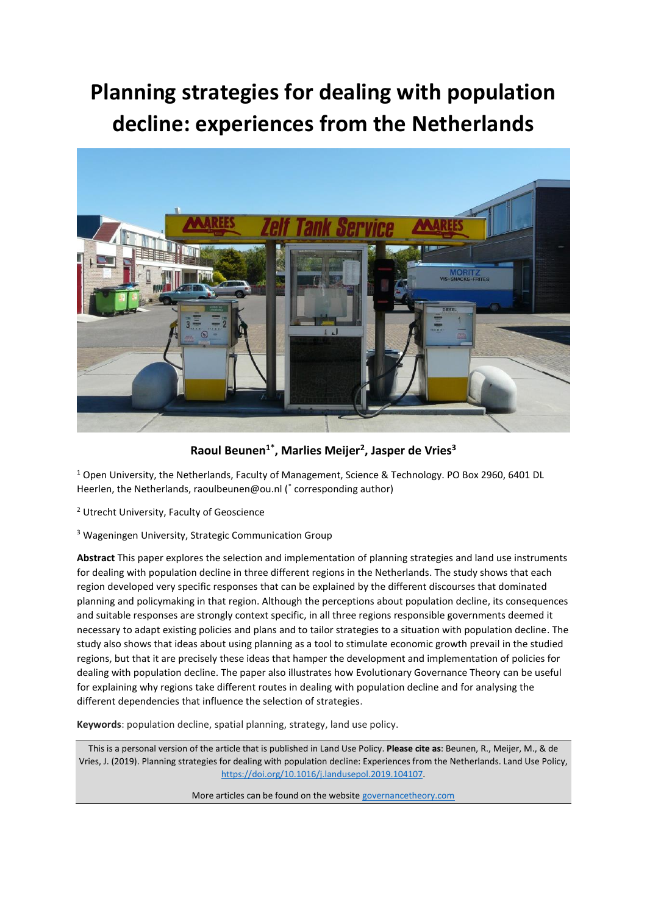# **Planning strategies for dealing with population decline: experiences from the Netherlands**



**Raoul Beunen1\*, Marlies Meijer<sup>2</sup> , Jasper de Vries<sup>3</sup>**

<sup>1</sup> Open University, the Netherlands, Faculty of Management, Science & Technology. PO Box 2960, 6401 DL Heerlen, the Netherlands, raoulbeunen@ou.nl (\* corresponding author)

- <sup>2</sup> Utrecht University, Faculty of Geoscience
- <sup>3</sup> Wageningen University, Strategic Communication Group

**Abstract** This paper explores the selection and implementation of planning strategies and land use instruments for dealing with population decline in three different regions in the Netherlands. The study shows that each region developed very specific responses that can be explained by the different discourses that dominated planning and policymaking in that region. Although the perceptions about population decline, its consequences and suitable responses are strongly context specific, in all three regions responsible governments deemed it necessary to adapt existing policies and plans and to tailor strategies to a situation with population decline. The study also shows that ideas about using planning as a tool to stimulate economic growth prevail in the studied regions, but that it are precisely these ideas that hamper the development and implementation of policies for dealing with population decline. The paper also illustrates how Evolutionary Governance Theory can be useful for explaining why regions take different routes in dealing with population decline and for analysing the different dependencies that influence the selection of strategies.

**Keywords**: population decline, spatial planning, strategy, land use policy.

This is a personal version of the article that is published in Land Use Policy. **Please cite as**: Beunen, R., Meijer, M., & de Vries, J. (2019). Planning strategies for dealing with population decline: Experiences from the Netherlands. Land Use Policy, [https://doi.org/10.1016/j.landusepol.2019.104107.](https://doi.org/10.1016/j.landusepol.2019.104107)

More articles can be found on the websit[e governancetheory.com](https://governancetheory.wordpress.com/)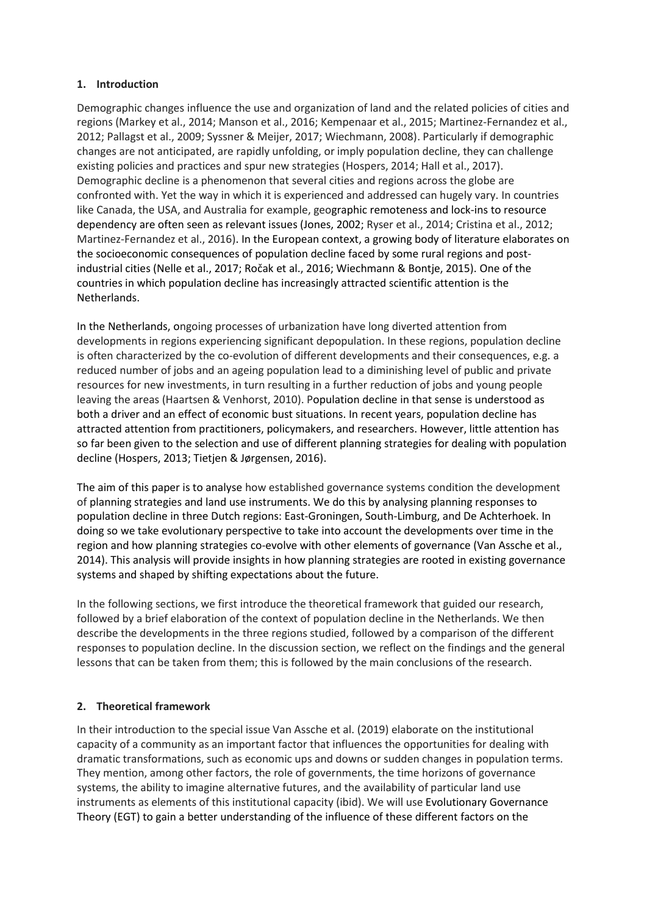## **1. Introduction**

Demographic changes influence the use and organization of land and the related policies of cities and regions (Markey et al., 2014; Manson et al., 2016; Kempenaar et al., 2015; Martinez-Fernandez et al., 2012; Pallagst et al., 2009; Syssner & Meijer, 2017; Wiechmann, 2008). Particularly if demographic changes are not anticipated, are rapidly unfolding, or imply population decline, they can challenge existing policies and practices and spur new strategies (Hospers, 2014; Hall et al., 2017). Demographic decline is a phenomenon that several cities and regions across the globe are confronted with. Yet the way in which it is experienced and addressed can hugely vary. In countries like Canada, the USA, and Australia for example, geographic remoteness and lock-ins to resource dependency are often seen as relevant issues (Jones, 2002; Ryser et al., 2014; Cristina et al., 2012; Martinez-Fernandez et al., 2016). In the European context, a growing body of literature elaborates on the socioeconomic consequences of population decline faced by some rural regions and postindustrial cities (Nelle et al., 2017; Ročak et al., 2016; Wiechmann & Bontje, 2015). One of the countries in which population decline has increasingly attracted scientific attention is the Netherlands.

In the Netherlands, ongoing processes of urbanization have long diverted attention from developments in regions experiencing significant depopulation. In these regions, population decline is often characterized by the co-evolution of different developments and their consequences, e.g. a reduced number of jobs and an ageing population lead to a diminishing level of public and private resources for new investments, in turn resulting in a further reduction of jobs and young people leaving the areas (Haartsen & Venhorst, 2010). Population decline in that sense is understood as both a driver and an effect of economic bust situations. In recent years, population decline has attracted attention from practitioners, policymakers, and researchers. However, little attention has so far been given to the selection and use of different planning strategies for dealing with population decline (Hospers, 2013; Tietjen & Jørgensen, 2016).

The aim of this paper is to analyse how established governance systems condition the development of planning strategies and land use instruments. We do this by analysing planning responses to population decline in three Dutch regions: East-Groningen, South-Limburg, and De Achterhoek. In doing so we take evolutionary perspective to take into account the developments over time in the region and how planning strategies co-evolve with other elements of governance (Van Assche et al., 2014). This analysis will provide insights in how planning strategies are rooted in existing governance systems and shaped by shifting expectations about the future.

In the following sections, we first introduce the theoretical framework that guided our research, followed by a brief elaboration of the context of population decline in the Netherlands. We then describe the developments in the three regions studied, followed by a comparison of the different responses to population decline. In the discussion section, we reflect on the findings and the general lessons that can be taken from them; this is followed by the main conclusions of the research.

## **2. Theoretical framework**

In their introduction to the special issue Van Assche et al. (2019) elaborate on the institutional capacity of a community as an important factor that influences the opportunities for dealing with dramatic transformations, such as economic ups and downs or sudden changes in population terms. They mention, among other factors, the role of governments, the time horizons of governance systems, the ability to imagine alternative futures, and the availability of particular land use instruments as elements of this institutional capacity (ibid). We will use Evolutionary Governance Theory (EGT) to gain a better understanding of the influence of these different factors on the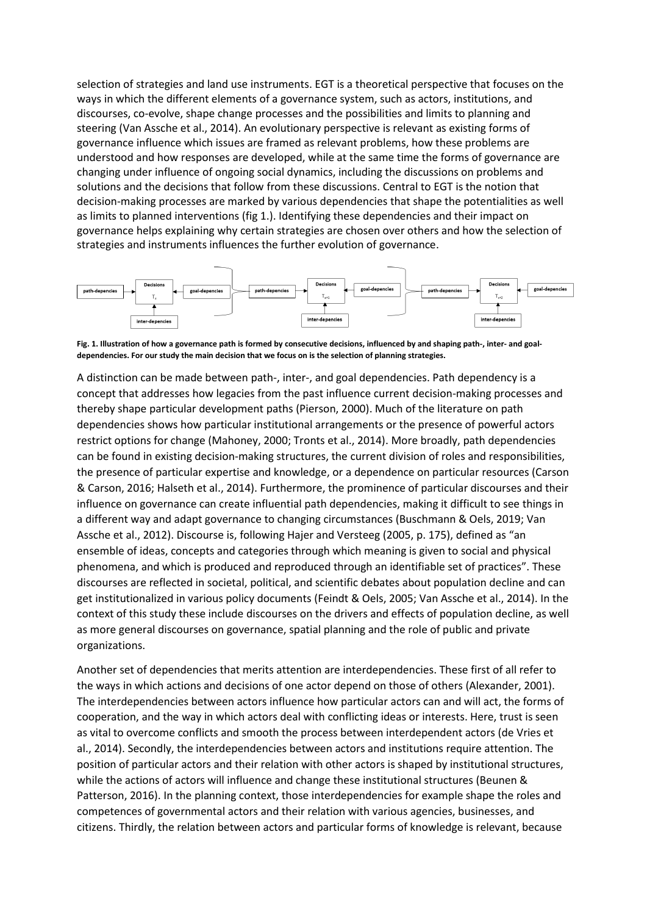selection of strategies and land use instruments. EGT is a theoretical perspective that focuses on the ways in which the different elements of a governance system, such as actors, institutions, and discourses, co-evolve, shape change processes and the possibilities and limits to planning and steering (Van Assche et al., 2014). An evolutionary perspective is relevant as existing forms of governance influence which issues are framed as relevant problems, how these problems are understood and how responses are developed, while at the same time the forms of governance are changing under influence of ongoing social dynamics, including the discussions on problems and solutions and the decisions that follow from these discussions. Central to EGT is the notion that decision-making processes are marked by various dependencies that shape the potentialities as well as limits to planned interventions (fig 1.). Identifying these dependencies and their impact on governance helps explaining why certain strategies are chosen over others and how the selection of strategies and instruments influences the further evolution of governance.



**Fig. 1. Illustration of how a governance path is formed by consecutive decisions, influenced by and shaping path-, inter- and goaldependencies. For our study the main decision that we focus on is the selection of planning strategies.**

A distinction can be made between path-, inter-, and goal dependencies. Path dependency is a concept that addresses how legacies from the past influence current decision-making processes and thereby shape particular development paths (Pierson, 2000). Much of the literature on path dependencies shows how particular institutional arrangements or the presence of powerful actors restrict options for change (Mahoney, 2000; Tronts et al., 2014). More broadly, path dependencies can be found in existing decision-making structures, the current division of roles and responsibilities, the presence of particular expertise and knowledge, or a dependence on particular resources (Carson & Carson, 2016; Halseth et al., 2014). Furthermore, the prominence of particular discourses and their influence on governance can create influential path dependencies, making it difficult to see things in a different way and adapt governance to changing circumstances (Buschmann & Oels, 2019; Van Assche et al., 2012). Discourse is, following Hajer and Versteeg (2005, p. 175), defined as "an ensemble of ideas, concepts and categories through which meaning is given to social and physical phenomena, and which is produced and reproduced through an identifiable set of practices". These discourses are reflected in societal, political, and scientific debates about population decline and can get institutionalized in various policy documents (Feindt & Oels, 2005; Van Assche et al., 2014). In the context of this study these include discourses on the drivers and effects of population decline, as well as more general discourses on governance, spatial planning and the role of public and private organizations.

Another set of dependencies that merits attention are interdependencies. These first of all refer to the ways in which actions and decisions of one actor depend on those of others (Alexander, 2001). The interdependencies between actors influence how particular actors can and will act, the forms of cooperation, and the way in which actors deal with conflicting ideas or interests. Here, trust is seen as vital to overcome conflicts and smooth the process between interdependent actors (de Vries et al., 2014). Secondly, the interdependencies between actors and institutions require attention. The position of particular actors and their relation with other actors is shaped by institutional structures, while the actions of actors will influence and change these institutional structures (Beunen & Patterson, 2016). In the planning context, those interdependencies for example shape the roles and competences of governmental actors and their relation with various agencies, businesses, and citizens. Thirdly, the relation between actors and particular forms of knowledge is relevant, because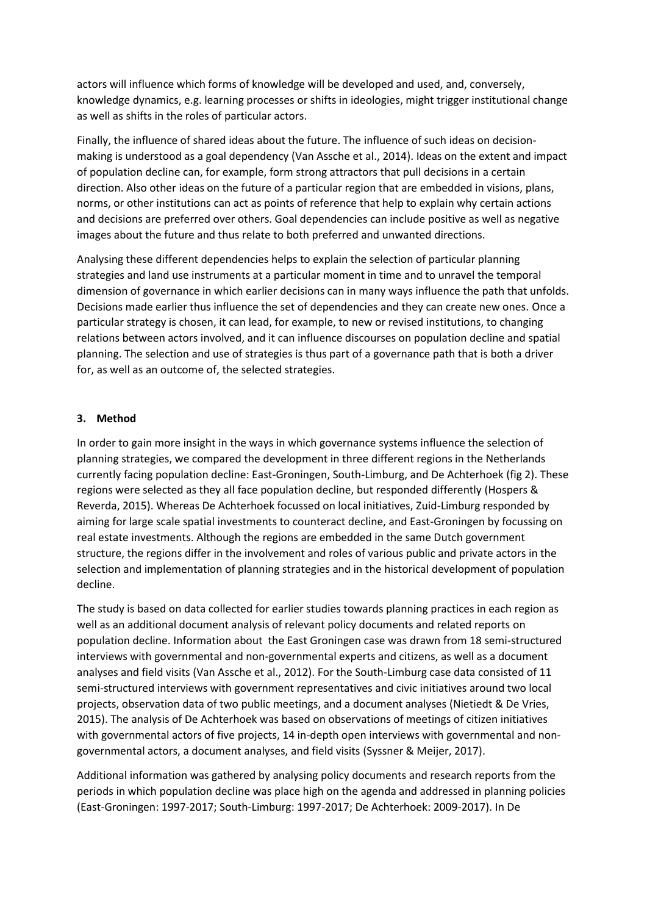actors will influence which forms of knowledge will be developed and used, and, conversely, knowledge dynamics, e.g. learning processes or shifts in ideologies, might trigger institutional change as well as shifts in the roles of particular actors.

Finally, the influence of shared ideas about the future. The influence of such ideas on decisionmaking is understood as a goal dependency (Van Assche et al., 2014). Ideas on the extent and impact of population decline can, for example, form strong attractors that pull decisions in a certain direction. Also other ideas on the future of a particular region that are embedded in visions, plans, norms, or other institutions can act as points of reference that help to explain why certain actions and decisions are preferred over others. Goal dependencies can include positive as well as negative images about the future and thus relate to both preferred and unwanted directions.

Analysing these different dependencies helps to explain the selection of particular planning strategies and land use instruments at a particular moment in time and to unravel the temporal dimension of governance in which earlier decisions can in many ways influence the path that unfolds. Decisions made earlier thus influence the set of dependencies and they can create new ones. Once a particular strategy is chosen, it can lead, for example, to new or revised institutions, to changing relations between actors involved, and it can influence discourses on population decline and spatial planning. The selection and use of strategies is thus part of a governance path that is both a driver for, as well as an outcome of, the selected strategies.

#### **3. Method**

In order to gain more insight in the ways in which governance systems influence the selection of planning strategies, we compared the development in three different regions in the Netherlands currently facing population decline: East-Groningen, South-Limburg, and De Achterhoek (fig 2). These regions were selected as they all face population decline, but responded differently (Hospers & Reverda, 2015). Whereas De Achterhoek focussed on local initiatives, Zuid-Limburg responded by aiming for large scale spatial investments to counteract decline, and East-Groningen by focussing on real estate investments. Although the regions are embedded in the same Dutch government structure, the regions differ in the involvement and roles of various public and private actors in the selection and implementation of planning strategies and in the historical development of population decline.

The study is based on data collected for earlier studies towards planning practices in each region as well as an additional document analysis of relevant policy documents and related reports on population decline. Information about the East Groningen case was drawn from 18 semi-structured interviews with governmental and non-governmental experts and citizens, as well as a document analyses and field visits (Van Assche et al., 2012). For the South-Limburg case data consisted of 11 semi-structured interviews with government representatives and civic initiatives around two local projects, observation data of two public meetings, and a document analyses (Nietiedt & De Vries, 2015). The analysis of De Achterhoek was based on observations of meetings of citizen initiatives with governmental actors of five projects, 14 in-depth open interviews with governmental and nongovernmental actors, a document analyses, and field visits (Syssner & Meijer, 2017).

Additional information was gathered by analysing policy documents and research reports from the periods in which population decline was place high on the agenda and addressed in planning policies (East-Groningen: 1997-2017; South-Limburg: 1997-2017; De Achterhoek: 2009-2017). In De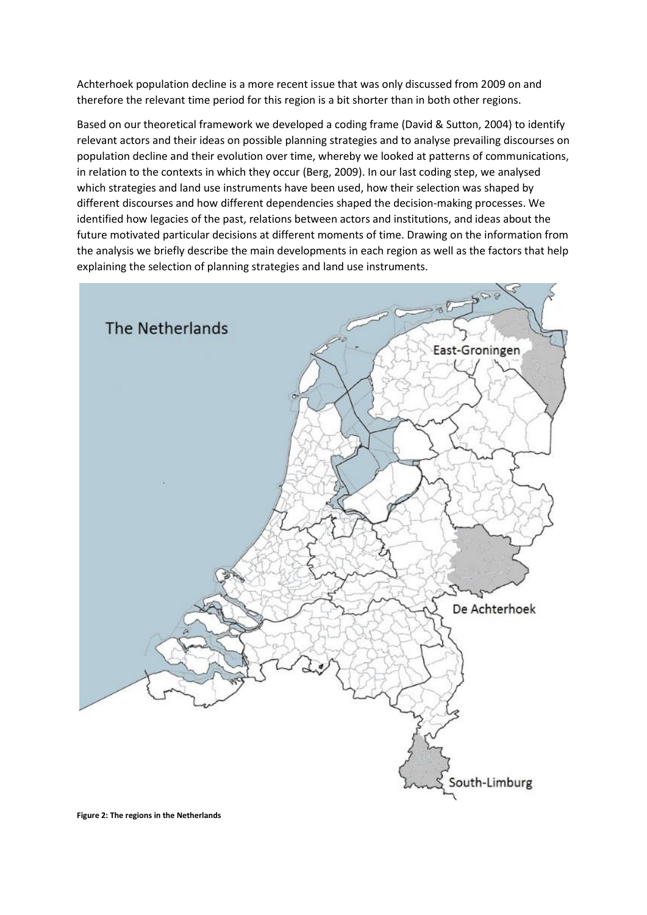Achterhoek population decline is a more recent issue that was only discussed from 2009 on and therefore the relevant time period for this region is a bit shorter than in both other regions.

Based on our theoretical framework we developed a coding frame (David & Sutton, 2004) to identify relevant actors and their ideas on possible planning strategies and to analyse prevailing discourses on population decline and their evolution over time, whereby we looked at patterns of communications, in relation to the contexts in which they occur (Berg, 2009). In our last coding step, we analysed which strategies and land use instruments have been used, how their selection was shaped by different discourses and how different dependencies shaped the decision-making processes. We identified how legacies of the past, relations between actors and institutions, and ideas about the future motivated particular decisions at different moments of time. Drawing on the information from the analysis we briefly describe the main developments in each region as well as the factors that help explaining the selection of planning strategies and land use instruments.

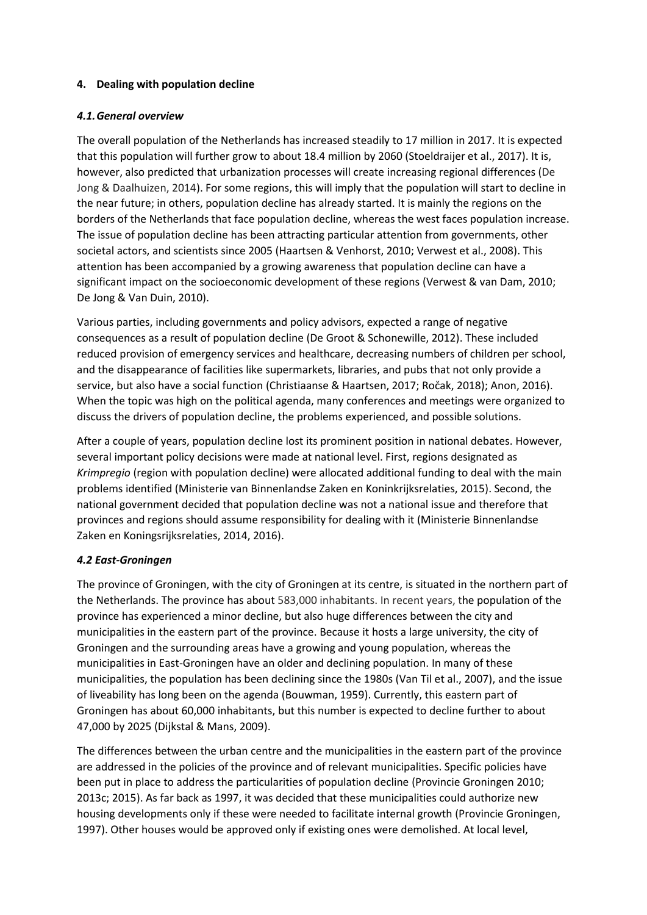## **4. Dealing with population decline**

## *4.1.General overview*

The overall population of the Netherlands has increased steadily to 17 million in 2017. It is expected that this population will further grow to about 18.4 million by 2060 (Stoeldraijer et al., 2017). It is, however, also predicted that urbanization processes will create increasing regional differences (De Jong & Daalhuizen, 2014). For some regions, this will imply that the population will start to decline in the near future; in others, population decline has already started. It is mainly the regions on the borders of the Netherlands that face population decline, whereas the west faces population increase. The issue of population decline has been attracting particular attention from governments, other societal actors, and scientists since 2005 (Haartsen & Venhorst, 2010; Verwest et al., 2008). This attention has been accompanied by a growing awareness that population decline can have a significant impact on the socioeconomic development of these regions (Verwest & van Dam, 2010; De Jong & Van Duin, 2010).

Various parties, including governments and policy advisors, expected a range of negative consequences as a result of population decline (De Groot & Schonewille, 2012). These included reduced provision of emergency services and healthcare, decreasing numbers of children per school, and the disappearance of facilities like supermarkets, libraries, and pubs that not only provide a service, but also have a social function (Christiaanse & Haartsen, 2017; Ročak, 2018); Anon, 2016). When the topic was high on the political agenda, many conferences and meetings were organized to discuss the drivers of population decline, the problems experienced, and possible solutions.

After a couple of years, population decline lost its prominent position in national debates. However, several important policy decisions were made at national level. First, regions designated as *Krimpregio* (region with population decline) were allocated additional funding to deal with the main problems identified (Ministerie van Binnenlandse Zaken en Koninkrijksrelaties, 2015). Second, the national government decided that population decline was not a national issue and therefore that provinces and regions should assume responsibility for dealing with it (Ministerie Binnenlandse Zaken en Koningsrijksrelaties, 2014, 2016).

## *4.2 East-Groningen*

The province of Groningen, with the city of Groningen at its centre, is situated in the northern part of the Netherlands. The province has about 583,000 inhabitants. In recent years, the population of the province has experienced a minor decline, but also huge differences between the city and municipalities in the eastern part of the province. Because it hosts a large university, the city of Groningen and the surrounding areas have a growing and young population, whereas the municipalities in East-Groningen have an older and declining population. In many of these municipalities, the population has been declining since the 1980s (Van Til et al., 2007), and the issue of liveability has long been on the agenda (Bouwman, 1959). Currently, this eastern part of Groningen has about 60,000 inhabitants, but this number is expected to decline further to about 47,000 by 2025 (Dijkstal & Mans, 2009).

The differences between the urban centre and the municipalities in the eastern part of the province are addressed in the policies of the province and of relevant municipalities. Specific policies have been put in place to address the particularities of population decline (Provincie Groningen 2010; 2013c; 2015). As far back as 1997, it was decided that these municipalities could authorize new housing developments only if these were needed to facilitate internal growth (Provincie Groningen, 1997). Other houses would be approved only if existing ones were demolished. At local level,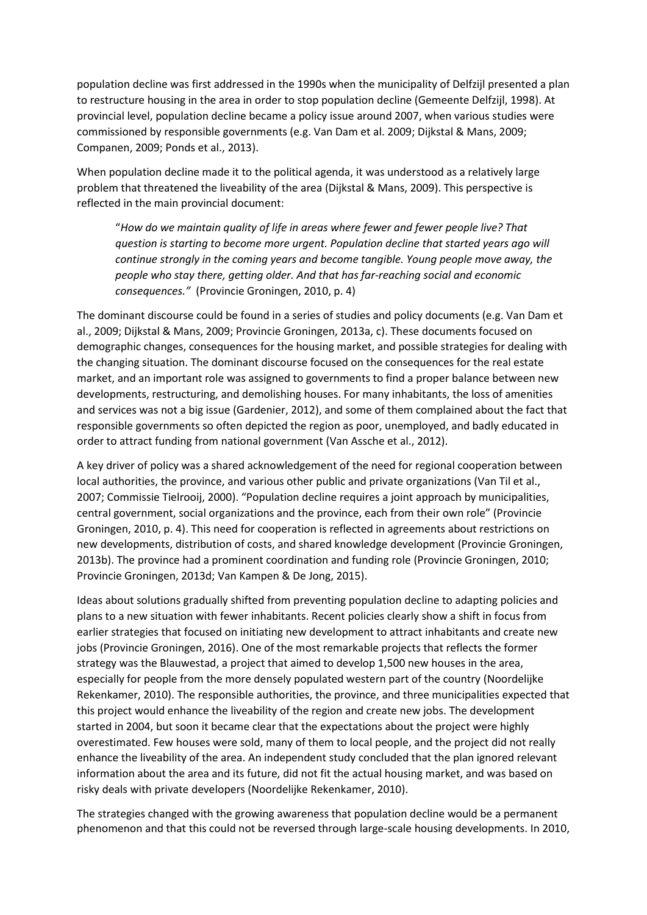population decline was first addressed in the 1990s when the municipality of Delfzijl presented a plan to restructure housing in the area in order to stop population decline (Gemeente Delfzijl, 1998). At provincial level, population decline became a policy issue around 2007, when various studies were commissioned by responsible governments (e.g. Van Dam et al. 2009; Dijkstal & Mans, 2009; Companen, 2009; Ponds et al., 2013).

When population decline made it to the political agenda, it was understood as a relatively large problem that threatened the liveability of the area (Dijkstal & Mans, 2009). This perspective is reflected in the main provincial document:

"*How do we maintain quality of life in areas where fewer and fewer people live? That question is starting to become more urgent. Population decline that started years ago will continue strongly in the coming years and become tangible. Young people move away, the people who stay there, getting older. And that has far-reaching social and economic consequences."* (Provincie Groningen, 2010, p. 4)

The dominant discourse could be found in a series of studies and policy documents (e.g. Van Dam et al., 2009; Dijkstal & Mans, 2009; Provincie Groningen, 2013a, c). These documents focused on demographic changes, consequences for the housing market, and possible strategies for dealing with the changing situation. The dominant discourse focused on the consequences for the real estate market, and an important role was assigned to governments to find a proper balance between new developments, restructuring, and demolishing houses. For many inhabitants, the loss of amenities and services was not a big issue (Gardenier, 2012), and some of them complained about the fact that responsible governments so often depicted the region as poor, unemployed, and badly educated in order to attract funding from national government (Van Assche et al., 2012).

A key driver of policy was a shared acknowledgement of the need for regional cooperation between local authorities, the province, and various other public and private organizations (Van Til et al., 2007; Commissie Tielrooij, 2000). "Population decline requires a joint approach by municipalities, central government, social organizations and the province, each from their own role" (Provincie Groningen, 2010, p. 4). This need for cooperation is reflected in agreements about restrictions on new developments, distribution of costs, and shared knowledge development (Provincie Groningen, 2013b). The province had a prominent coordination and funding role (Provincie Groningen, 2010; Provincie Groningen, 2013d; Van Kampen & De Jong, 2015).

Ideas about solutions gradually shifted from preventing population decline to adapting policies and plans to a new situation with fewer inhabitants. Recent policies clearly show a shift in focus from earlier strategies that focused on initiating new development to attract inhabitants and create new jobs (Provincie Groningen, 2016). One of the most remarkable projects that reflects the former strategy was the Blauwestad, a project that aimed to develop 1,500 new houses in the area, especially for people from the more densely populated western part of the country (Noordelijke Rekenkamer, 2010). The responsible authorities, the province, and three municipalities expected that this project would enhance the liveability of the region and create new jobs. The development started in 2004, but soon it became clear that the expectations about the project were highly overestimated. Few houses were sold, many of them to local people, and the project did not really enhance the liveability of the area. An independent study concluded that the plan ignored relevant information about the area and its future, did not fit the actual housing market, and was based on risky deals with private developers (Noordelijke Rekenkamer, 2010).

The strategies changed with the growing awareness that population decline would be a permanent phenomenon and that this could not be reversed through large-scale housing developments. In 2010,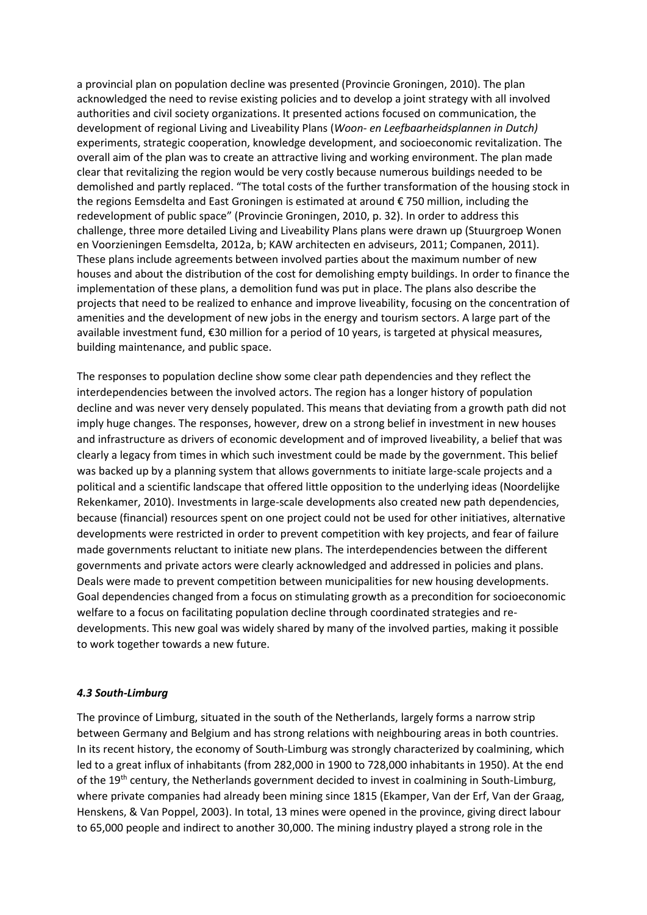a provincial plan on population decline was presented (Provincie Groningen, 2010). The plan acknowledged the need to revise existing policies and to develop a joint strategy with all involved authorities and civil society organizations. It presented actions focused on communication, the development of regional Living and Liveability Plans (*Woon- en Leefbaarheidsplannen in Dutch)* experiments, strategic cooperation, knowledge development, and socioeconomic revitalization. The overall aim of the plan was to create an attractive living and working environment. The plan made clear that revitalizing the region would be very costly because numerous buildings needed to be demolished and partly replaced. "The total costs of the further transformation of the housing stock in the regions Eemsdelta and East Groningen is estimated at around € 750 million, including the redevelopment of public space" (Provincie Groningen, 2010, p. 32). In order to address this challenge, three more detailed Living and Liveability Plans plans were drawn up (Stuurgroep Wonen en Voorzieningen Eemsdelta, 2012a, b; KAW architecten en adviseurs, 2011; Companen, 2011). These plans include agreements between involved parties about the maximum number of new houses and about the distribution of the cost for demolishing empty buildings. In order to finance the implementation of these plans, a demolition fund was put in place. The plans also describe the projects that need to be realized to enhance and improve liveability, focusing on the concentration of amenities and the development of new jobs in the energy and tourism sectors. A large part of the available investment fund, €30 million for a period of 10 years, is targeted at physical measures, building maintenance, and public space.

The responses to population decline show some clear path dependencies and they reflect the interdependencies between the involved actors. The region has a longer history of population decline and was never very densely populated. This means that deviating from a growth path did not imply huge changes. The responses, however, drew on a strong belief in investment in new houses and infrastructure as drivers of economic development and of improved liveability, a belief that was clearly a legacy from times in which such investment could be made by the government. This belief was backed up by a planning system that allows governments to initiate large-scale projects and a political and a scientific landscape that offered little opposition to the underlying ideas (Noordelijke Rekenkamer, 2010). Investments in large-scale developments also created new path dependencies, because (financial) resources spent on one project could not be used for other initiatives, alternative developments were restricted in order to prevent competition with key projects, and fear of failure made governments reluctant to initiate new plans. The interdependencies between the different governments and private actors were clearly acknowledged and addressed in policies and plans. Deals were made to prevent competition between municipalities for new housing developments. Goal dependencies changed from a focus on stimulating growth as a precondition for socioeconomic welfare to a focus on facilitating population decline through coordinated strategies and redevelopments. This new goal was widely shared by many of the involved parties, making it possible to work together towards a new future.

#### *4.3 South-Limburg*

The province of Limburg, situated in the south of the Netherlands, largely forms a narrow strip between Germany and Belgium and has strong relations with neighbouring areas in both countries. In its recent history, the economy of South-Limburg was strongly characterized by coalmining, which led to a great influx of inhabitants (from 282,000 in 1900 to 728,000 inhabitants in 1950). At the end of the 19<sup>th</sup> century, the Netherlands government decided to invest in coalmining in South-Limburg, where private companies had already been mining since 1815 (Ekamper, Van der Erf, Van der Graag, Henskens, & Van Poppel, 2003). In total, 13 mines were opened in the province, giving direct labour to 65,000 people and indirect to another 30,000. The mining industry played a strong role in the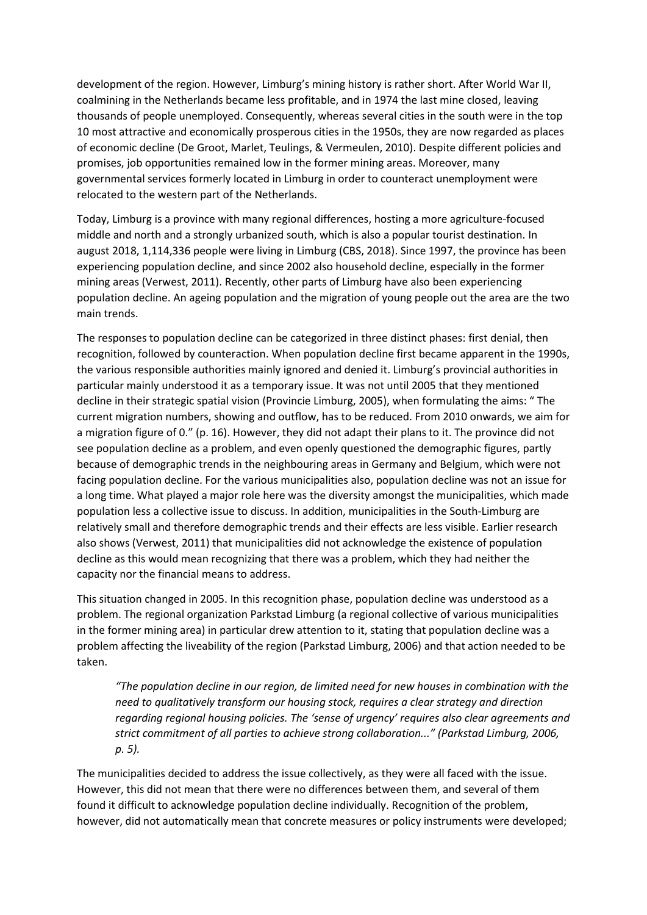development of the region. However, Limburg's mining history is rather short. After World War II, coalmining in the Netherlands became less profitable, and in 1974 the last mine closed, leaving thousands of people unemployed. Consequently, whereas several cities in the south were in the top 10 most attractive and economically prosperous cities in the 1950s, they are now regarded as places of economic decline (De Groot, Marlet, Teulings, & Vermeulen, 2010). Despite different policies and promises, job opportunities remained low in the former mining areas. Moreover, many governmental services formerly located in Limburg in order to counteract unemployment were relocated to the western part of the Netherlands.

Today, Limburg is a province with many regional differences, hosting a more agriculture-focused middle and north and a strongly urbanized south, which is also a popular tourist destination. In august 2018, 1,114,336 people were living in Limburg (CBS, 2018). Since 1997, the province has been experiencing population decline, and since 2002 also household decline, especially in the former mining areas (Verwest, 2011). Recently, other parts of Limburg have also been experiencing population decline. An ageing population and the migration of young people out the area are the two main trends.

The responses to population decline can be categorized in three distinct phases: first denial, then recognition, followed by counteraction. When population decline first became apparent in the 1990s, the various responsible authorities mainly ignored and denied it. Limburg's provincial authorities in particular mainly understood it as a temporary issue. It was not until 2005 that they mentioned decline in their strategic spatial vision (Provincie Limburg, 2005), when formulating the aims: " The current migration numbers, showing and outflow, has to be reduced. From 2010 onwards, we aim for a migration figure of 0." (p. 16). However, they did not adapt their plans to it. The province did not see population decline as a problem, and even openly questioned the demographic figures, partly because of demographic trends in the neighbouring areas in Germany and Belgium, which were not facing population decline. For the various municipalities also, population decline was not an issue for a long time. What played a major role here was the diversity amongst the municipalities, which made population less a collective issue to discuss. In addition, municipalities in the South-Limburg are relatively small and therefore demographic trends and their effects are less visible. Earlier research also shows (Verwest, 2011) that municipalities did not acknowledge the existence of population decline as this would mean recognizing that there was a problem, which they had neither the capacity nor the financial means to address.

This situation changed in 2005. In this recognition phase, population decline was understood as a problem. The regional organization Parkstad Limburg (a regional collective of various municipalities in the former mining area) in particular drew attention to it, stating that population decline was a problem affecting the liveability of the region (Parkstad Limburg, 2006) and that action needed to be taken.

*"The population decline in our region, de limited need for new houses in combination with the need to qualitatively transform our housing stock, requires a clear strategy and direction regarding regional housing policies. The 'sense of urgency' requires also clear agreements and strict commitment of all parties to achieve strong collaboration..." (Parkstad Limburg, 2006, p. 5).*

The municipalities decided to address the issue collectively, as they were all faced with the issue. However, this did not mean that there were no differences between them, and several of them found it difficult to acknowledge population decline individually. Recognition of the problem, however, did not automatically mean that concrete measures or policy instruments were developed;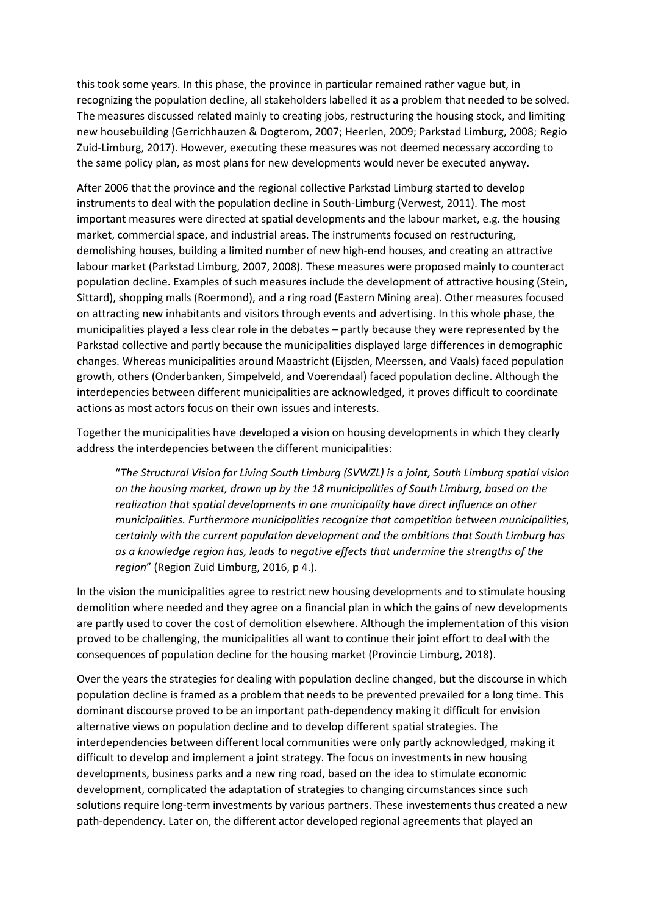this took some years. In this phase, the province in particular remained rather vague but, in recognizing the population decline, all stakeholders labelled it as a problem that needed to be solved. The measures discussed related mainly to creating jobs, restructuring the housing stock, and limiting new housebuilding (Gerrichhauzen & Dogterom, 2007; Heerlen, 2009; Parkstad Limburg, 2008; Regio Zuid-Limburg, 2017). However, executing these measures was not deemed necessary according to the same policy plan, as most plans for new developments would never be executed anyway.

After 2006 that the province and the regional collective Parkstad Limburg started to develop instruments to deal with the population decline in South-Limburg (Verwest, 2011). The most important measures were directed at spatial developments and the labour market, e.g. the housing market, commercial space, and industrial areas. The instruments focused on restructuring, demolishing houses, building a limited number of new high-end houses, and creating an attractive labour market (Parkstad Limburg, 2007, 2008). These measures were proposed mainly to counteract population decline. Examples of such measures include the development of attractive housing (Stein, Sittard), shopping malls (Roermond), and a ring road (Eastern Mining area). Other measures focused on attracting new inhabitants and visitors through events and advertising. In this whole phase, the municipalities played a less clear role in the debates – partly because they were represented by the Parkstad collective and partly because the municipalities displayed large differences in demographic changes. Whereas municipalities around Maastricht (Eijsden, Meerssen, and Vaals) faced population growth, others (Onderbanken, Simpelveld, and Voerendaal) faced population decline. Although the interdepencies between different municipalities are acknowledged, it proves difficult to coordinate actions as most actors focus on their own issues and interests.

Together the municipalities have developed a vision on housing developments in which they clearly address the interdepencies between the different municipalities:

"*The Structural Vision for Living South Limburg (SVWZL) is a joint, South Limburg spatial vision on the housing market, drawn up by the 18 municipalities of South Limburg, based on the realization that spatial developments in one municipality have direct influence on other municipalities. Furthermore municipalities recognize that competition between municipalities, certainly with the current population development and the ambitions that South Limburg has as a knowledge region has, leads to negative effects that undermine the strengths of the region*" (Region Zuid Limburg, 2016, p 4.).

In the vision the municipalities agree to restrict new housing developments and to stimulate housing demolition where needed and they agree on a financial plan in which the gains of new developments are partly used to cover the cost of demolition elsewhere. Although the implementation of this vision proved to be challenging, the municipalities all want to continue their joint effort to deal with the consequences of population decline for the housing market (Provincie Limburg, 2018).

Over the years the strategies for dealing with population decline changed, but the discourse in which population decline is framed as a problem that needs to be prevented prevailed for a long time. This dominant discourse proved to be an important path-dependency making it difficult for envision alternative views on population decline and to develop different spatial strategies. The interdependencies between different local communities were only partly acknowledged, making it difficult to develop and implement a joint strategy. The focus on investments in new housing developments, business parks and a new ring road, based on the idea to stimulate economic development, complicated the adaptation of strategies to changing circumstances since such solutions require long-term investments by various partners. These investements thus created a new path-dependency. Later on, the different actor developed regional agreements that played an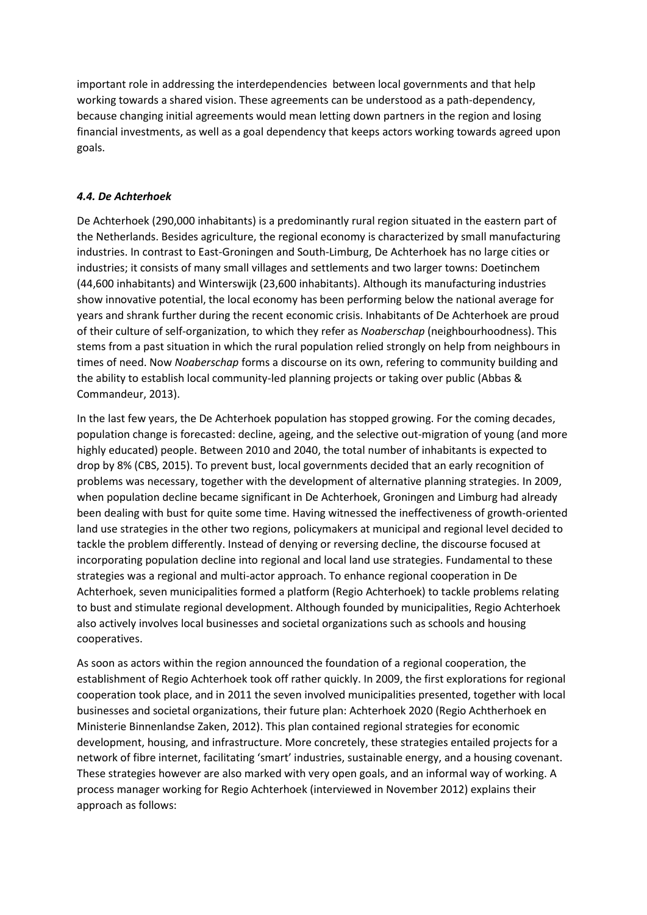important role in addressing the interdependencies between local governments and that help working towards a shared vision. These agreements can be understood as a path-dependency, because changing initial agreements would mean letting down partners in the region and losing financial investments, as well as a goal dependency that keeps actors working towards agreed upon goals.

## *4.4. De Achterhoek*

De Achterhoek (290,000 inhabitants) is a predominantly rural region situated in the eastern part of the Netherlands. Besides agriculture, the regional economy is characterized by small manufacturing industries. In contrast to East-Groningen and South-Limburg, De Achterhoek has no large cities or industries; it consists of many small villages and settlements and two larger towns: Doetinchem (44,600 inhabitants) and Winterswijk (23,600 inhabitants). Although its manufacturing industries show innovative potential, the local economy has been performing below the national average for years and shrank further during the recent economic crisis. Inhabitants of De Achterhoek are proud of their culture of self-organization, to which they refer as *Noaberschap* (neighbourhoodness). This stems from a past situation in which the rural population relied strongly on help from neighbours in times of need. Now *Noaberschap* forms a discourse on its own, refering to community building and the ability to establish local community-led planning projects or taking over public (Abbas & Commandeur, 2013).

In the last few years, the De Achterhoek population has stopped growing. For the coming decades, population change is forecasted: decline, ageing, and the selective out-migration of young (and more highly educated) people. Between 2010 and 2040, the total number of inhabitants is expected to drop by 8% (CBS, 2015). To prevent bust, local governments decided that an early recognition of problems was necessary, together with the development of alternative planning strategies. In 2009, when population decline became significant in De Achterhoek, Groningen and Limburg had already been dealing with bust for quite some time. Having witnessed the ineffectiveness of growth-oriented land use strategies in the other two regions, policymakers at municipal and regional level decided to tackle the problem differently. Instead of denying or reversing decline, the discourse focused at incorporating population decline into regional and local land use strategies. Fundamental to these strategies was a regional and multi-actor approach. To enhance regional cooperation in De Achterhoek, seven municipalities formed a platform (Regio Achterhoek) to tackle problems relating to bust and stimulate regional development. Although founded by municipalities, Regio Achterhoek also actively involves local businesses and societal organizations such as schools and housing cooperatives.

As soon as actors within the region announced the foundation of a regional cooperation, the establishment of Regio Achterhoek took off rather quickly. In 2009, the first explorations for regional cooperation took place, and in 2011 the seven involved municipalities presented, together with local businesses and societal organizations, their future plan: Achterhoek 2020 (Regio Achtherhoek en Ministerie Binnenlandse Zaken, 2012). This plan contained regional strategies for economic development, housing, and infrastructure. More concretely, these strategies entailed projects for a network of fibre internet, facilitating 'smart' industries, sustainable energy, and a housing covenant. These strategies however are also marked with very open goals, and an informal way of working. A process manager working for Regio Achterhoek (interviewed in November 2012) explains their approach as follows: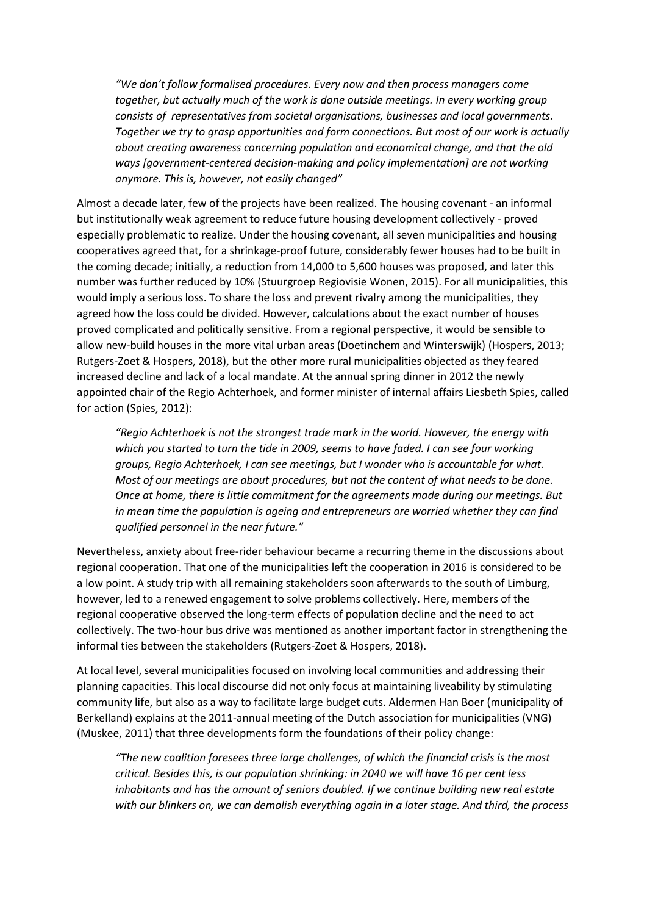*"We don't follow formalised procedures. Every now and then process managers come together, but actually much of the work is done outside meetings. In every working group consists of representatives from societal organisations, businesses and local governments. Together we try to grasp opportunities and form connections. But most of our work is actually about creating awareness concerning population and economical change, and that the old ways [government-centered decision-making and policy implementation] are not working anymore. This is, however, not easily changed"*

Almost a decade later, few of the projects have been realized. The housing covenant - an informal but institutionally weak agreement to reduce future housing development collectively - proved especially problematic to realize. Under the housing covenant, all seven municipalities and housing cooperatives agreed that, for a shrinkage-proof future, considerably fewer houses had to be built in the coming decade; initially, a reduction from 14,000 to 5,600 houses was proposed, and later this number was further reduced by 10% (Stuurgroep Regiovisie Wonen, 2015). For all municipalities, this would imply a serious loss. To share the loss and prevent rivalry among the municipalities, they agreed how the loss could be divided. However, calculations about the exact number of houses proved complicated and politically sensitive. From a regional perspective, it would be sensible to allow new-build houses in the more vital urban areas (Doetinchem and Winterswijk) (Hospers, 2013; Rutgers-Zoet & Hospers, 2018), but the other more rural municipalities objected as they feared increased decline and lack of a local mandate. At the annual spring dinner in 2012 the newly appointed chair of the Regio Achterhoek, and former minister of internal affairs Liesbeth Spies, called for action (Spies, 2012):

*"Regio Achterhoek is not the strongest trade mark in the world. However, the energy with which you started to turn the tide in 2009, seems to have faded. I can see four working groups, Regio Achterhoek, I can see meetings, but I wonder who is accountable for what. Most of our meetings are about procedures, but not the content of what needs to be done. Once at home, there is little commitment for the agreements made during our meetings. But in mean time the population is ageing and entrepreneurs are worried whether they can find qualified personnel in the near future."*

Nevertheless, anxiety about free-rider behaviour became a recurring theme in the discussions about regional cooperation. That one of the municipalities left the cooperation in 2016 is considered to be a low point. A study trip with all remaining stakeholders soon afterwards to the south of Limburg, however, led to a renewed engagement to solve problems collectively. Here, members of the regional cooperative observed the long-term effects of population decline and the need to act collectively. The two-hour bus drive was mentioned as another important factor in strengthening the informal ties between the stakeholders (Rutgers-Zoet & Hospers, 2018).

At local level, several municipalities focused on involving local communities and addressing their planning capacities. This local discourse did not only focus at maintaining liveability by stimulating community life, but also as a way to facilitate large budget cuts. Aldermen Han Boer (municipality of Berkelland) explains at the 2011-annual meeting of the Dutch association for municipalities (VNG) (Muskee, 2011) that three developments form the foundations of their policy change:

*"The new coalition foresees three large challenges, of which the financial crisis is the most critical. Besides this, is our population shrinking: in 2040 we will have 16 per cent less inhabitants and has the amount of seniors doubled. If we continue building new real estate with our blinkers on, we can demolish everything again in a later stage. And third, the process*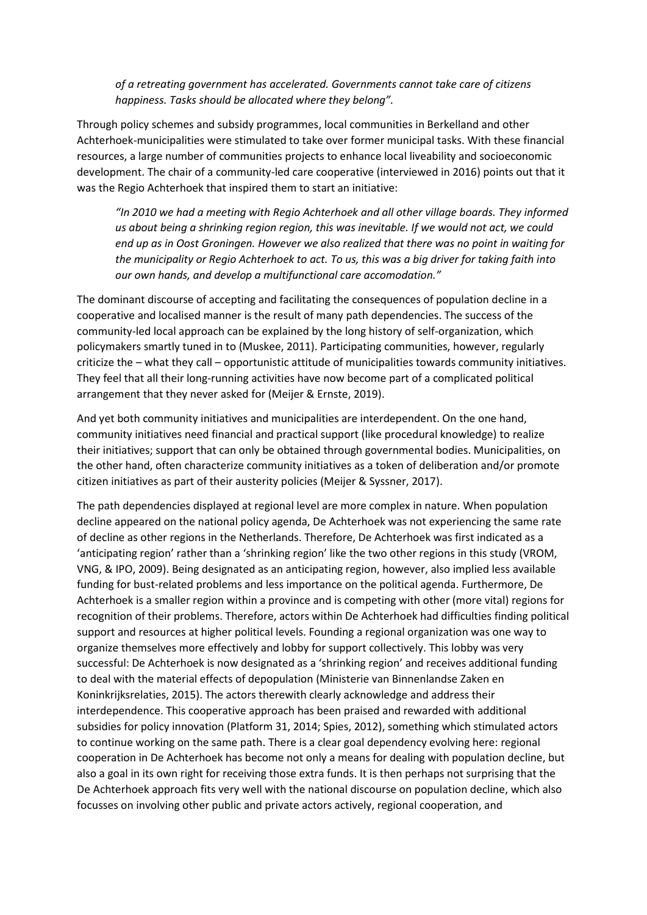*of a retreating government has accelerated. Governments cannot take care of citizens happiness. Tasks should be allocated where they belong".* 

Through policy schemes and subsidy programmes, local communities in Berkelland and other Achterhoek-municipalities were stimulated to take over former municipal tasks. With these financial resources, a large number of communities projects to enhance local liveability and socioeconomic development. The chair of a community-led care cooperative (interviewed in 2016) points out that it was the Regio Achterhoek that inspired them to start an initiative:

*"In 2010 we had a meeting with Regio Achterhoek and all other village boards. They informed us about being a shrinking region region, this was inevitable. If we would not act, we could end up as in Oost Groningen. However we also realized that there was no point in waiting for the municipality or Regio Achterhoek to act. To us, this was a big driver for taking faith into our own hands, and develop a multifunctional care accomodation."*

The dominant discourse of accepting and facilitating the consequences of population decline in a cooperative and localised manner is the result of many path dependencies. The success of the community-led local approach can be explained by the long history of self-organization, which policymakers smartly tuned in to (Muskee, 2011). Participating communities, however, regularly criticize the – what they call – opportunistic attitude of municipalities towards community initiatives. They feel that all their long-running activities have now become part of a complicated political arrangement that they never asked for (Meijer & Ernste, 2019).

And yet both community initiatives and municipalities are interdependent. On the one hand, community initiatives need financial and practical support (like procedural knowledge) to realize their initiatives; support that can only be obtained through governmental bodies. Municipalities, on the other hand, often characterize community initiatives as a token of deliberation and/or promote citizen initiatives as part of their austerity policies (Meijer & Syssner, 2017).

The path dependencies displayed at regional level are more complex in nature. When population decline appeared on the national policy agenda, De Achterhoek was not experiencing the same rate of decline as other regions in the Netherlands. Therefore, De Achterhoek was first indicated as a 'anticipating region' rather than a 'shrinking region' like the two other regions in this study (VROM, VNG, & IPO, 2009). Being designated as an anticipating region, however, also implied less available funding for bust-related problems and less importance on the political agenda. Furthermore, De Achterhoek is a smaller region within a province and is competing with other (more vital) regions for recognition of their problems. Therefore, actors within De Achterhoek had difficulties finding political support and resources at higher political levels. Founding a regional organization was one way to organize themselves more effectively and lobby for support collectively. This lobby was very successful: De Achterhoek is now designated as a 'shrinking region' and receives additional funding to deal with the material effects of depopulation (Ministerie van Binnenlandse Zaken en Koninkrijksrelaties, 2015). The actors therewith clearly acknowledge and address their interdependence. This cooperative approach has been praised and rewarded with additional subsidies for policy innovation (Platform 31, 2014; Spies, 2012), something which stimulated actors to continue working on the same path. There is a clear goal dependency evolving here: regional cooperation in De Achterhoek has become not only a means for dealing with population decline, but also a goal in its own right for receiving those extra funds. It is then perhaps not surprising that the De Achterhoek approach fits very well with the national discourse on population decline, which also focusses on involving other public and private actors actively, regional cooperation, and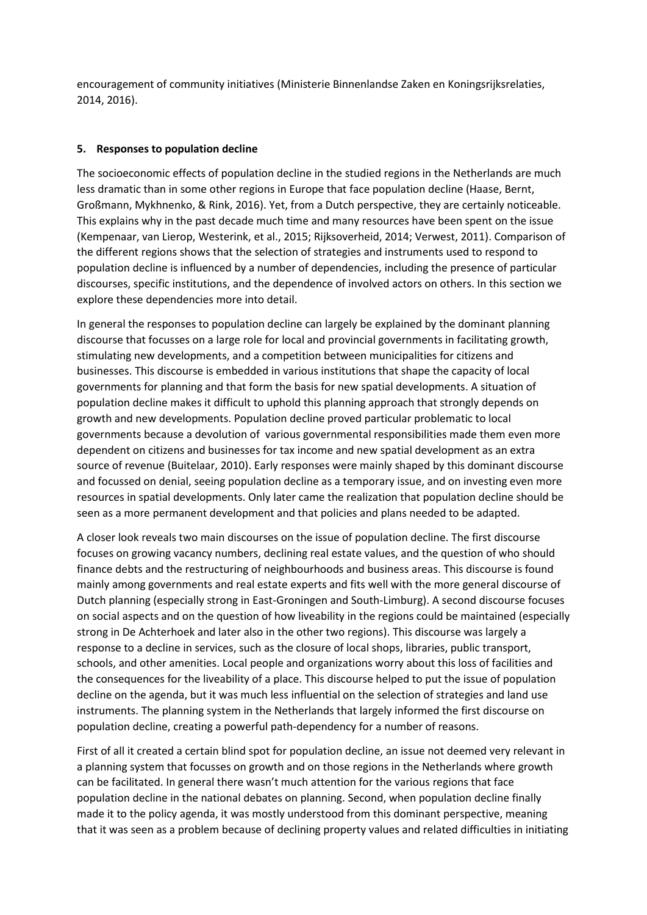encouragement of community initiatives (Ministerie Binnenlandse Zaken en Koningsrijksrelaties, 2014, 2016).

## **5. Responses to population decline**

The socioeconomic effects of population decline in the studied regions in the Netherlands are much less dramatic than in some other regions in Europe that face population decline (Haase, Bernt, Großmann, Mykhnenko, & Rink, 2016). Yet, from a Dutch perspective, they are certainly noticeable. This explains why in the past decade much time and many resources have been spent on the issue (Kempenaar, van Lierop, Westerink, et al., 2015; Rijksoverheid, 2014; Verwest, 2011). Comparison of the different regions shows that the selection of strategies and instruments used to respond to population decline is influenced by a number of dependencies, including the presence of particular discourses, specific institutions, and the dependence of involved actors on others. In this section we explore these dependencies more into detail.

In general the responses to population decline can largely be explained by the dominant planning discourse that focusses on a large role for local and provincial governments in facilitating growth, stimulating new developments, and a competition between municipalities for citizens and businesses. This discourse is embedded in various institutions that shape the capacity of local governments for planning and that form the basis for new spatial developments. A situation of population decline makes it difficult to uphold this planning approach that strongly depends on growth and new developments. Population decline proved particular problematic to local governments because a devolution of various governmental responsibilities made them even more dependent on citizens and businesses for tax income and new spatial development as an extra source of revenue (Buitelaar, 2010). Early responses were mainly shaped by this dominant discourse and focussed on denial, seeing population decline as a temporary issue, and on investing even more resources in spatial developments. Only later came the realization that population decline should be seen as a more permanent development and that policies and plans needed to be adapted.

A closer look reveals two main discourses on the issue of population decline. The first discourse focuses on growing vacancy numbers, declining real estate values, and the question of who should finance debts and the restructuring of neighbourhoods and business areas. This discourse is found mainly among governments and real estate experts and fits well with the more general discourse of Dutch planning (especially strong in East-Groningen and South-Limburg). A second discourse focuses on social aspects and on the question of how liveability in the regions could be maintained (especially strong in De Achterhoek and later also in the other two regions). This discourse was largely a response to a decline in services, such as the closure of local shops, libraries, public transport, schools, and other amenities. Local people and organizations worry about this loss of facilities and the consequences for the liveability of a place. This discourse helped to put the issue of population decline on the agenda, but it was much less influential on the selection of strategies and land use instruments. The planning system in the Netherlands that largely informed the first discourse on population decline, creating a powerful path-dependency for a number of reasons.

First of all it created a certain blind spot for population decline, an issue not deemed very relevant in a planning system that focusses on growth and on those regions in the Netherlands where growth can be facilitated. In general there wasn't much attention for the various regions that face population decline in the national debates on planning. Second, when population decline finally made it to the policy agenda, it was mostly understood from this dominant perspective, meaning that it was seen as a problem because of declining property values and related difficulties in initiating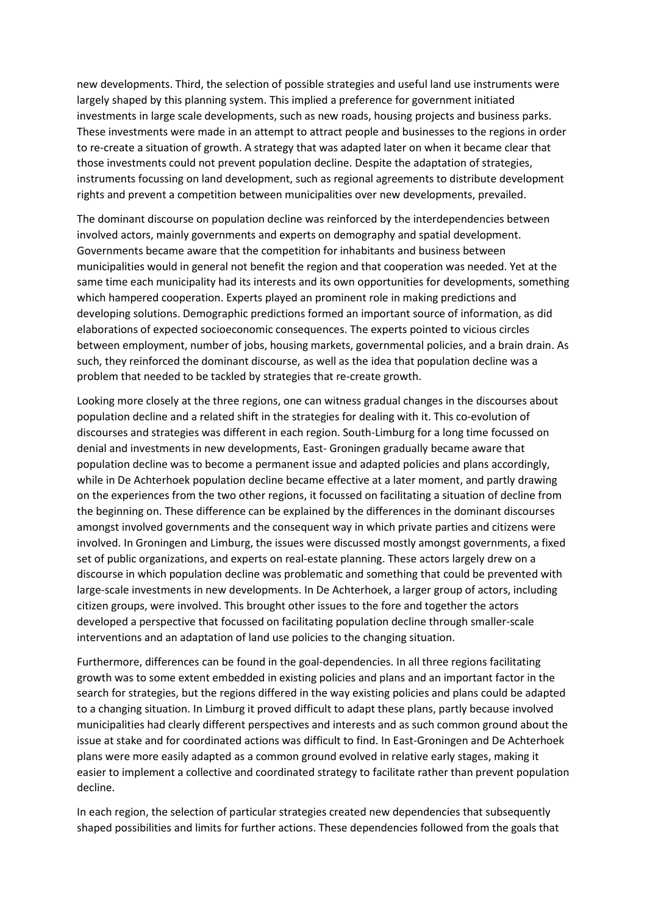new developments. Third, the selection of possible strategies and useful land use instruments were largely shaped by this planning system. This implied a preference for government initiated investments in large scale developments, such as new roads, housing projects and business parks. These investments were made in an attempt to attract people and businesses to the regions in order to re-create a situation of growth. A strategy that was adapted later on when it became clear that those investments could not prevent population decline. Despite the adaptation of strategies, instruments focussing on land development, such as regional agreements to distribute development rights and prevent a competition between municipalities over new developments, prevailed.

The dominant discourse on population decline was reinforced by the interdependencies between involved actors, mainly governments and experts on demography and spatial development. Governments became aware that the competition for inhabitants and business between municipalities would in general not benefit the region and that cooperation was needed. Yet at the same time each municipality had its interests and its own opportunities for developments, something which hampered cooperation. Experts played an prominent role in making predictions and developing solutions. Demographic predictions formed an important source of information, as did elaborations of expected socioeconomic consequences. The experts pointed to vicious circles between employment, number of jobs, housing markets, governmental policies, and a brain drain. As such, they reinforced the dominant discourse, as well as the idea that population decline was a problem that needed to be tackled by strategies that re-create growth.

Looking more closely at the three regions, one can witness gradual changes in the discourses about population decline and a related shift in the strategies for dealing with it. This co-evolution of discourses and strategies was different in each region. South-Limburg for a long time focussed on denial and investments in new developments, East- Groningen gradually became aware that population decline was to become a permanent issue and adapted policies and plans accordingly, while in De Achterhoek population decline became effective at a later moment, and partly drawing on the experiences from the two other regions, it focussed on facilitating a situation of decline from the beginning on. These difference can be explained by the differences in the dominant discourses amongst involved governments and the consequent way in which private parties and citizens were involved. In Groningen and Limburg, the issues were discussed mostly amongst governments, a fixed set of public organizations, and experts on real-estate planning. These actors largely drew on a discourse in which population decline was problematic and something that could be prevented with large-scale investments in new developments. In De Achterhoek, a larger group of actors, including citizen groups, were involved. This brought other issues to the fore and together the actors developed a perspective that focussed on facilitating population decline through smaller-scale interventions and an adaptation of land use policies to the changing situation.

Furthermore, differences can be found in the goal-dependencies. In all three regions facilitating growth was to some extent embedded in existing policies and plans and an important factor in the search for strategies, but the regions differed in the way existing policies and plans could be adapted to a changing situation. In Limburg it proved difficult to adapt these plans, partly because involved municipalities had clearly different perspectives and interests and as such common ground about the issue at stake and for coordinated actions was difficult to find. In East-Groningen and De Achterhoek plans were more easily adapted as a common ground evolved in relative early stages, making it easier to implement a collective and coordinated strategy to facilitate rather than prevent population decline.

In each region, the selection of particular strategies created new dependencies that subsequently shaped possibilities and limits for further actions. These dependencies followed from the goals that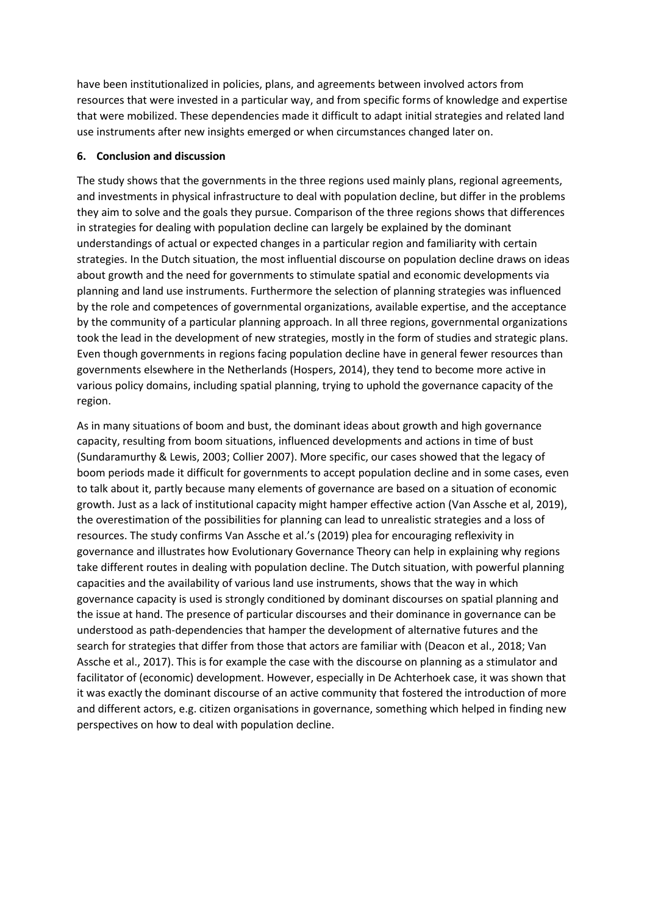have been institutionalized in policies, plans, and agreements between involved actors from resources that were invested in a particular way, and from specific forms of knowledge and expertise that were mobilized. These dependencies made it difficult to adapt initial strategies and related land use instruments after new insights emerged or when circumstances changed later on.

## **6. Conclusion and discussion**

The study shows that the governments in the three regions used mainly plans, regional agreements, and investments in physical infrastructure to deal with population decline, but differ in the problems they aim to solve and the goals they pursue. Comparison of the three regions shows that differences in strategies for dealing with population decline can largely be explained by the dominant understandings of actual or expected changes in a particular region and familiarity with certain strategies. In the Dutch situation, the most influential discourse on population decline draws on ideas about growth and the need for governments to stimulate spatial and economic developments via planning and land use instruments. Furthermore the selection of planning strategies was influenced by the role and competences of governmental organizations, available expertise, and the acceptance by the community of a particular planning approach. In all three regions, governmental organizations took the lead in the development of new strategies, mostly in the form of studies and strategic plans. Even though governments in regions facing population decline have in general fewer resources than governments elsewhere in the Netherlands (Hospers, 2014), they tend to become more active in various policy domains, including spatial planning, trying to uphold the governance capacity of the region.

As in many situations of boom and bust, the dominant ideas about growth and high governance capacity, resulting from boom situations, influenced developments and actions in time of bust (Sundaramurthy & Lewis, 2003; Collier 2007). More specific, our cases showed that the legacy of boom periods made it difficult for governments to accept population decline and in some cases, even to talk about it, partly because many elements of governance are based on a situation of economic growth. Just as a lack of institutional capacity might hamper effective action (Van Assche et al, 2019), the overestimation of the possibilities for planning can lead to unrealistic strategies and a loss of resources. The study confirms Van Assche et al.'s (2019) plea for encouraging reflexivity in governance and illustrates how Evolutionary Governance Theory can help in explaining why regions take different routes in dealing with population decline. The Dutch situation, with powerful planning capacities and the availability of various land use instruments, shows that the way in which governance capacity is used is strongly conditioned by dominant discourses on spatial planning and the issue at hand. The presence of particular discourses and their dominance in governance can be understood as path-dependencies that hamper the development of alternative futures and the search for strategies that differ from those that actors are familiar with (Deacon et al., 2018; Van Assche et al., 2017). This is for example the case with the discourse on planning as a stimulator and facilitator of (economic) development. However, especially in De Achterhoek case, it was shown that it was exactly the dominant discourse of an active community that fostered the introduction of more and different actors, e.g. citizen organisations in governance, something which helped in finding new perspectives on how to deal with population decline.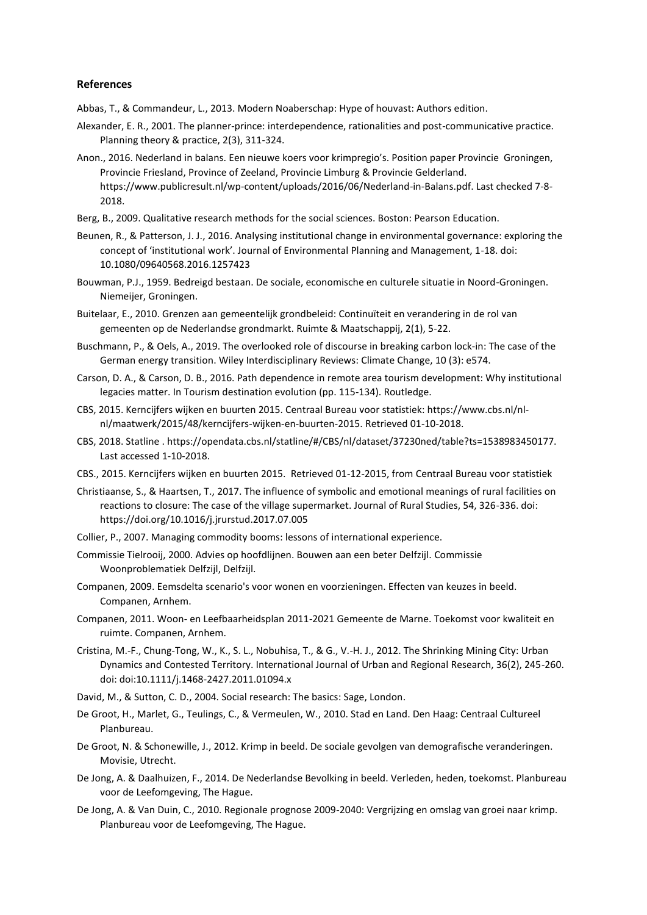#### **References**

Abbas, T., & Commandeur, L., 2013. Modern Noaberschap: Hype of houvast: Authors edition.

- Alexander, E. R., 2001. The planner-prince: interdependence, rationalities and post-communicative practice. Planning theory & practice, 2(3), 311-324.
- Anon., 2016. Nederland in balans. Een nieuwe koers voor krimpregio's. Position paper Provincie Groningen, Provincie Friesland, Province of Zeeland, Provincie Limburg & Provincie Gelderland. https://www.publicresult.nl/wp-content/uploads/2016/06/Nederland-in-Balans.pdf. Last checked 7-8- 2018.
- Berg, B., 2009. Qualitative research methods for the social sciences. Boston: Pearson Education.
- Beunen, R., & Patterson, J. J., 2016. Analysing institutional change in environmental governance: exploring the concept of 'institutional work'. Journal of Environmental Planning and Management, 1-18. doi: 10.1080/09640568.2016.1257423
- Bouwman, P.J., 1959. Bedreigd bestaan. De sociale, economische en culturele situatie in Noord-Groningen. Niemeijer, Groningen.
- Buitelaar, E., 2010. Grenzen aan gemeentelijk grondbeleid: Continuïteit en verandering in de rol van gemeenten op de Nederlandse grondmarkt. Ruimte & Maatschappij, 2(1), 5-22.
- Buschmann, P., & Oels, A., 2019. The overlooked role of discourse in breaking carbon lock‐in: The case of the German energy transition. Wiley Interdisciplinary Reviews: Climate Change, 10 (3): e574.
- Carson, D. A., & Carson, D. B., 2016. Path dependence in remote area tourism development: Why institutional legacies matter. In Tourism destination evolution (pp. 115-134). Routledge.
- CBS, 2015. Kerncijfers wijken en buurten 2015. Centraal Bureau voor statistiek: https://www.cbs.nl/nlnl/maatwerk/2015/48/kerncijfers-wijken-en-buurten-2015. Retrieved 01-10-2018.
- CBS, 2018. Statline . https://opendata.cbs.nl/statline/#/CBS/nl/dataset/37230ned/table?ts=1538983450177. Last accessed 1-10-2018.
- CBS., 2015. Kerncijfers wijken en buurten 2015. Retrieved 01-12-2015, from Centraal Bureau voor statistiek
- Christiaanse, S., & Haartsen, T., 2017. The influence of symbolic and emotional meanings of rural facilities on reactions to closure: The case of the village supermarket. Journal of Rural Studies, 54, 326-336. doi: https://doi.org/10.1016/j.jrurstud.2017.07.005
- Collier, P., 2007. Managing commodity booms: lessons of international experience.
- Commissie Tielrooij, 2000. Advies op hoofdlijnen. Bouwen aan een beter Delfzijl. Commissie Woonproblematiek Delfzijl, Delfzijl.
- Companen, 2009. Eemsdelta scenario's voor wonen en voorzieningen. Effecten van keuzes in beeld. Companen, Arnhem.
- Companen, 2011. Woon- en Leefbaarheidsplan 2011-2021 Gemeente de Marne. Toekomst voor kwaliteit en ruimte. Companen, Arnhem.
- Cristina, M.-F., Chung-Tong, W., K., S. L., Nobuhisa, T., & G., V.-H. J., 2012. The Shrinking Mining City: Urban Dynamics and Contested Territory. International Journal of Urban and Regional Research, 36(2), 245-260. doi: doi:10.1111/j.1468-2427.2011.01094.x
- David, M., & Sutton, C. D., 2004. Social research: The basics: Sage, London.
- De Groot, H., Marlet, G., Teulings, C., & Vermeulen, W., 2010. Stad en Land. Den Haag: Centraal Cultureel Planbureau.
- De Groot, N. & Schonewille, J., 2012. Krimp in beeld. De sociale gevolgen van demografische veranderingen. Movisie, Utrecht.
- De Jong, A. & Daalhuizen, F., 2014. De Nederlandse Bevolking in beeld. Verleden, heden, toekomst. Planbureau voor de Leefomgeving, The Hague.
- De Jong, A. & Van Duin, C., 2010. Regionale prognose 2009-2040: Vergrijzing en omslag van groei naar krimp. Planbureau voor de Leefomgeving, The Hague.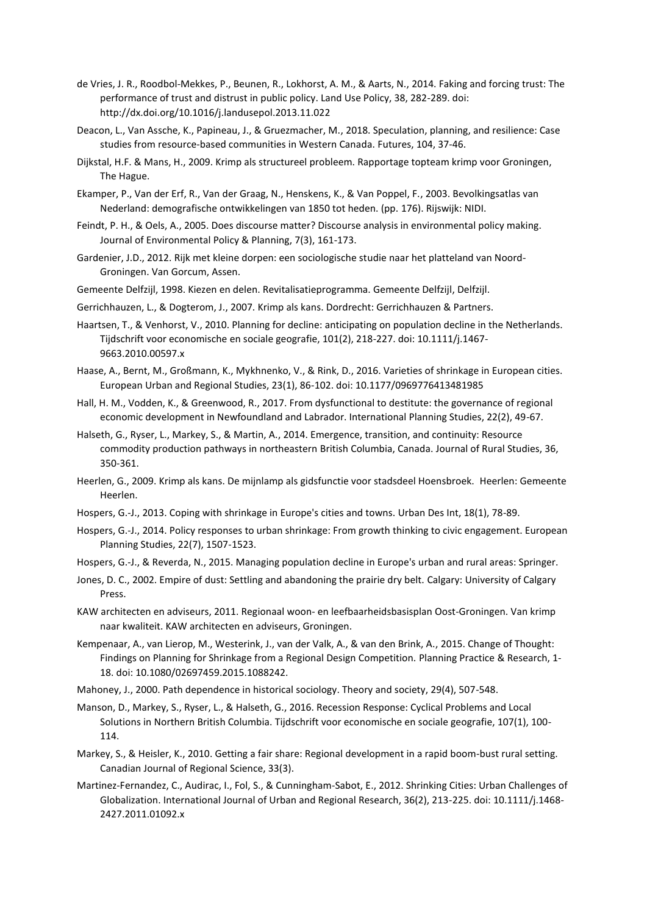- de Vries, J. R., Roodbol-Mekkes, P., Beunen, R., Lokhorst, A. M., & Aarts, N., 2014. Faking and forcing trust: The performance of trust and distrust in public policy. Land Use Policy, 38, 282-289. doi: http://dx.doi.org/10.1016/j.landusepol.2013.11.022
- Deacon, L., Van Assche, K., Papineau, J., & Gruezmacher, M., 2018. Speculation, planning, and resilience: Case studies from resource-based communities in Western Canada. Futures, 104, 37-46.
- Dijkstal, H.F. & Mans, H., 2009. Krimp als structureel probleem. Rapportage topteam krimp voor Groningen, The Hague.
- Ekamper, P., Van der Erf, R., Van der Graag, N., Henskens, K., & Van Poppel, F., 2003. Bevolkingsatlas van Nederland: demografische ontwikkelingen van 1850 tot heden. (pp. 176). Rijswijk: NIDI.
- Feindt, P. H., & Oels, A., 2005. Does discourse matter? Discourse analysis in environmental policy making. Journal of Environmental Policy & Planning, 7(3), 161-173.
- Gardenier, J.D., 2012. Rijk met kleine dorpen: een sociologische studie naar het platteland van Noord-Groningen. Van Gorcum, Assen.
- Gemeente Delfzijl, 1998. Kiezen en delen. Revitalisatieprogramma. Gemeente Delfzijl, Delfzijl.
- Gerrichhauzen, L., & Dogterom, J., 2007. Krimp als kans. Dordrecht: Gerrichhauzen & Partners.
- Haartsen, T., & Venhorst, V., 2010. Planning for decline: anticipating on population decline in the Netherlands. Tijdschrift voor economische en sociale geografie, 101(2), 218-227. doi: 10.1111/j.1467- 9663.2010.00597.x
- Haase, A., Bernt, M., Großmann, K., Mykhnenko, V., & Rink, D., 2016. Varieties of shrinkage in European cities. European Urban and Regional Studies, 23(1), 86-102. doi: 10.1177/0969776413481985
- Hall, H. M., Vodden, K., & Greenwood, R., 2017. From dysfunctional to destitute: the governance of regional economic development in Newfoundland and Labrador. International Planning Studies, 22(2), 49-67.
- Halseth, G., Ryser, L., Markey, S., & Martin, A., 2014. Emergence, transition, and continuity: Resource commodity production pathways in northeastern British Columbia, Canada. Journal of Rural Studies, 36, 350-361.
- Heerlen, G., 2009. Krimp als kans. De mijnlamp als gidsfunctie voor stadsdeel Hoensbroek. Heerlen: Gemeente Heerlen.
- Hospers, G.-J., 2013. Coping with shrinkage in Europe's cities and towns. Urban Des Int, 18(1), 78-89.
- Hospers, G.-J., 2014. Policy responses to urban shrinkage: From growth thinking to civic engagement. European Planning Studies, 22(7), 1507-1523.
- Hospers, G.-J., & Reverda, N., 2015. Managing population decline in Europe's urban and rural areas: Springer.
- Jones, D. C., 2002. Empire of dust: Settling and abandoning the prairie dry belt. Calgary: University of Calgary Press.
- KAW architecten en adviseurs, 2011. Regionaal woon- en leefbaarheidsbasisplan Oost-Groningen. Van krimp naar kwaliteit. KAW architecten en adviseurs, Groningen.
- Kempenaar, A., van Lierop, M., Westerink, J., van der Valk, A., & van den Brink, A., 2015. Change of Thought: Findings on Planning for Shrinkage from a Regional Design Competition. Planning Practice & Research, 1- 18. doi: 10.1080/02697459.2015.1088242.
- Mahoney, J., 2000. Path dependence in historical sociology. Theory and society, 29(4), 507-548.
- Manson, D., Markey, S., Ryser, L., & Halseth, G., 2016. Recession Response: Cyclical Problems and Local Solutions in Northern British Columbia. Tijdschrift voor economische en sociale geografie, 107(1), 100- 114.
- Markey, S., & Heisler, K., 2010. Getting a fair share: Regional development in a rapid boom-bust rural setting. Canadian Journal of Regional Science, 33(3).
- Martinez-Fernandez, C., Audirac, I., Fol, S., & Cunningham-Sabot, E., 2012. Shrinking Cities: Urban Challenges of Globalization. International Journal of Urban and Regional Research, 36(2), 213-225. doi: 10.1111/j.1468- 2427.2011.01092.x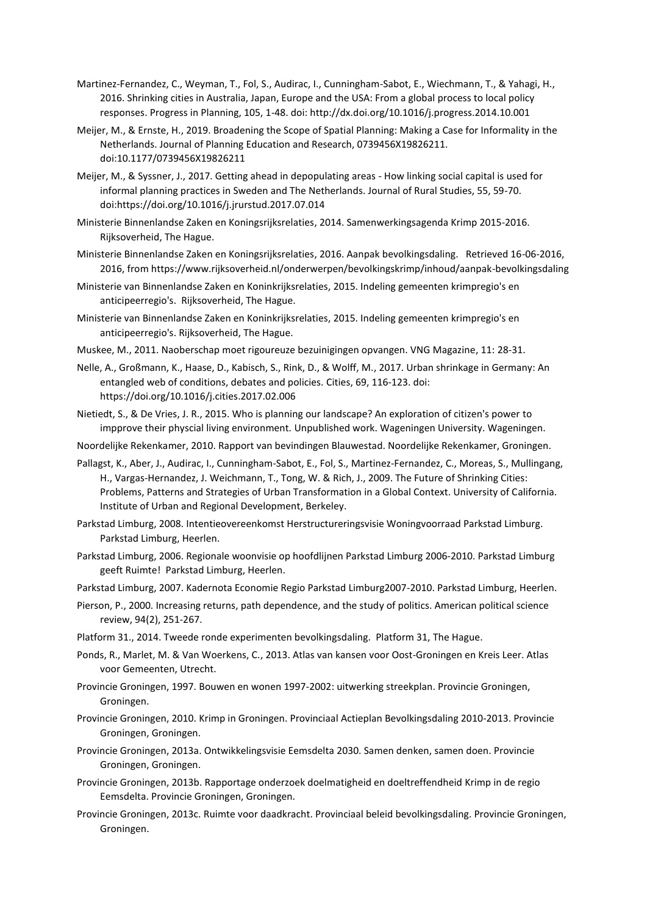- Martinez-Fernandez, C., Weyman, T., Fol, S., Audirac, I., Cunningham-Sabot, E., Wiechmann, T., & Yahagi, H., 2016. Shrinking cities in Australia, Japan, Europe and the USA: From a global process to local policy responses. Progress in Planning, 105, 1-48. doi: http://dx.doi.org/10.1016/j.progress.2014.10.001
- Meijer, M., & Ernste, H., 2019. Broadening the Scope of Spatial Planning: Making a Case for Informality in the Netherlands. Journal of Planning Education and Research, 0739456X19826211. doi:10.1177/0739456X19826211
- Meijer, M., & Syssner, J., 2017. Getting ahead in depopulating areas How linking social capital is used for informal planning practices in Sweden and The Netherlands. Journal of Rural Studies, 55, 59-70. doi:https://doi.org/10.1016/j.jrurstud.2017.07.014
- Ministerie Binnenlandse Zaken en Koningsrijksrelaties, 2014. Samenwerkingsagenda Krimp 2015-2016. Rijksoverheid, The Hague.
- Ministerie Binnenlandse Zaken en Koningsrijksrelaties, 2016. Aanpak bevolkingsdaling. Retrieved 16-06-2016, 2016, from https://www.rijksoverheid.nl/onderwerpen/bevolkingskrimp/inhoud/aanpak-bevolkingsdaling
- Ministerie van Binnenlandse Zaken en Koninkrijksrelaties, 2015. Indeling gemeenten krimpregio's en anticipeerregio's. Rijksoverheid, The Hague.
- Ministerie van Binnenlandse Zaken en Koninkrijksrelaties, 2015. Indeling gemeenten krimpregio's en anticipeerregio's. Rijksoverheid, The Hague.
- Muskee, M., 2011. Naoberschap moet rigoureuze bezuinigingen opvangen. VNG Magazine, 11: 28-31.
- Nelle, A., Großmann, K., Haase, D., Kabisch, S., Rink, D., & Wolff, M., 2017. Urban shrinkage in Germany: An entangled web of conditions, debates and policies. Cities, 69, 116-123. doi: https://doi.org/10.1016/j.cities.2017.02.006
- Nietiedt, S., & De Vries, J. R., 2015. Who is planning our landscape? An exploration of citizen's power to impprove their physcial living environment. Unpublished work. Wageningen University. Wageningen.
- Noordelijke Rekenkamer, 2010. Rapport van bevindingen Blauwestad. Noordelijke Rekenkamer, Groningen.
- Pallagst, K., Aber, J., Audirac, I., Cunningham-Sabot, E., Fol, S., Martinez-Fernandez, C., Moreas, S., Mullingang, H., Vargas-Hernandez, J. Weichmann, T., Tong, W. & Rich, J., 2009. The Future of Shrinking Cities: Problems, Patterns and Strategies of Urban Transformation in a Global Context. University of California. Institute of Urban and Regional Development, Berkeley.
- Parkstad Limburg, 2008. Intentieovereenkomst Herstructureringsvisie Woningvoorraad Parkstad Limburg. Parkstad Limburg, Heerlen.
- Parkstad Limburg, 2006. Regionale woonvisie op hoofdlijnen Parkstad Limburg 2006-2010. Parkstad Limburg geeft Ruimte! Parkstad Limburg, Heerlen.
- Parkstad Limburg, 2007. Kadernota Economie Regio Parkstad Limburg2007-2010. Parkstad Limburg, Heerlen.
- Pierson, P., 2000. Increasing returns, path dependence, and the study of politics. American political science review, 94(2), 251-267.
- Platform 31., 2014. Tweede ronde experimenten bevolkingsdaling. Platform 31, The Hague.
- Ponds, R., Marlet, M. & Van Woerkens, C., 2013. Atlas van kansen voor Oost-Groningen en Kreis Leer. Atlas voor Gemeenten, Utrecht.
- Provincie Groningen, 1997. Bouwen en wonen 1997-2002: uitwerking streekplan. Provincie Groningen, Groningen.
- Provincie Groningen, 2010. Krimp in Groningen. Provinciaal Actieplan Bevolkingsdaling 2010-2013. Provincie Groningen, Groningen.
- Provincie Groningen, 2013a. Ontwikkelingsvisie Eemsdelta 2030. Samen denken, samen doen. Provincie Groningen, Groningen.
- Provincie Groningen, 2013b. Rapportage onderzoek doelmatigheid en doeltreffendheid Krimp in de regio Eemsdelta. Provincie Groningen, Groningen.
- Provincie Groningen, 2013c. Ruimte voor daadkracht. Provinciaal beleid bevolkingsdaling. Provincie Groningen, Groningen.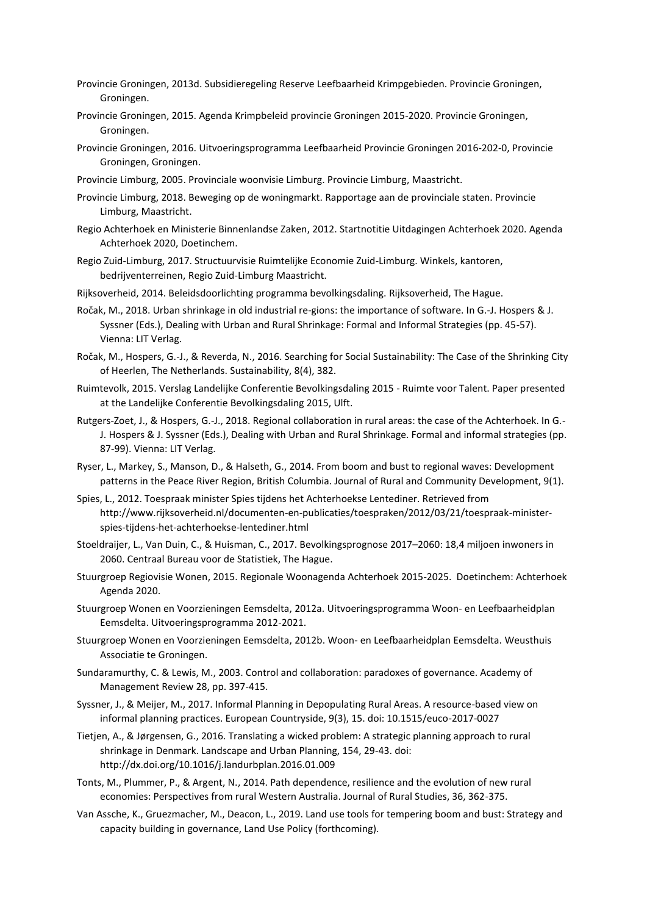- Provincie Groningen, 2013d. Subsidieregeling Reserve Leefbaarheid Krimpgebieden. Provincie Groningen, Groningen.
- Provincie Groningen, 2015. Agenda Krimpbeleid provincie Groningen 2015-2020. Provincie Groningen, Groningen.
- Provincie Groningen, 2016. Uitvoeringsprogramma Leefbaarheid Provincie Groningen 2016-202-0, Provincie Groningen, Groningen.
- Provincie Limburg, 2005. Provinciale woonvisie Limburg. Provincie Limburg, Maastricht.
- Provincie Limburg, 2018. Beweging op de woningmarkt. Rapportage aan de provinciale staten. Provincie Limburg, Maastricht.
- Regio Achterhoek en Ministerie Binnenlandse Zaken, 2012. Startnotitie Uitdagingen Achterhoek 2020. Agenda Achterhoek 2020, Doetinchem.
- Regio Zuid-Limburg, 2017. Structuurvisie Ruimtelijke Economie Zuid-Limburg. Winkels, kantoren, bedrijventerreinen, Regio Zuid-Limburg Maastricht.
- Rijksoverheid, 2014. Beleidsdoorlichting programma bevolkingsdaling. Rijksoverheid, The Hague.
- Ročak, M., 2018. Urban shrinkage in old industrial re-gions: the importance of software. In G.-J. Hospers & J. Syssner (Eds.), Dealing with Urban and Rural Shrinkage: Formal and Informal Strategies (pp. 45-57). Vienna: LIT Verlag.
- Ročak, M., Hospers, G.-J., & Reverda, N., 2016. Searching for Social Sustainability: The Case of the Shrinking City of Heerlen, The Netherlands. Sustainability, 8(4), 382.
- Ruimtevolk, 2015. Verslag Landelijke Conferentie Bevolkingsdaling 2015 Ruimte voor Talent. Paper presented at the Landelijke Conferentie Bevolkingsdaling 2015, Ulft.
- Rutgers-Zoet, J., & Hospers, G.-J., 2018. Regional collaboration in rural areas: the case of the Achterhoek. In G.- J. Hospers & J. Syssner (Eds.), Dealing with Urban and Rural Shrinkage. Formal and informal strategies (pp. 87-99). Vienna: LIT Verlag.
- Ryser, L., Markey, S., Manson, D., & Halseth, G., 2014. From boom and bust to regional waves: Development patterns in the Peace River Region, British Columbia. Journal of Rural and Community Development, 9(1).
- Spies, L., 2012. Toespraak minister Spies tijdens het Achterhoekse Lentediner. Retrieved from http://www.rijksoverheid.nl/documenten-en-publicaties/toespraken/2012/03/21/toespraak-ministerspies-tijdens-het-achterhoekse-lentediner.html
- Stoeldraijer, L., Van Duin, C., & Huisman, C., 2017. Bevolkingsprognose 2017–2060: 18,4 miljoen inwoners in 2060. Centraal Bureau voor de Statistiek, The Hague.
- Stuurgroep Regiovisie Wonen, 2015. Regionale Woonagenda Achterhoek 2015-2025. Doetinchem: Achterhoek Agenda 2020.
- Stuurgroep Wonen en Voorzieningen Eemsdelta, 2012a. Uitvoeringsprogramma Woon- en Leefbaarheidplan Eemsdelta. Uitvoeringsprogramma 2012-2021.
- Stuurgroep Wonen en Voorzieningen Eemsdelta, 2012b. Woon- en Leefbaarheidplan Eemsdelta. Weusthuis Associatie te Groningen.
- Sundaramurthy, C. & Lewis, M., 2003. Control and collaboration: paradoxes of governance. Academy of Management Review 28, pp. 397-415.
- Syssner, J., & Meijer, M., 2017. Informal Planning in Depopulating Rural Areas. A resource-based view on informal planning practices. European Countryside, 9(3), 15. doi: 10.1515/euco-2017-0027
- Tietjen, A., & Jørgensen, G., 2016. Translating a wicked problem: A strategic planning approach to rural shrinkage in Denmark. Landscape and Urban Planning, 154, 29-43. doi: http://dx.doi.org/10.1016/j.landurbplan.2016.01.009
- Tonts, M., Plummer, P., & Argent, N., 2014. Path dependence, resilience and the evolution of new rural economies: Perspectives from rural Western Australia. Journal of Rural Studies, 36, 362-375.
- Van Assche, K., Gruezmacher, M., Deacon, L., 2019. Land use tools for tempering boom and bust: Strategy and capacity building in governance, Land Use Policy (forthcoming).